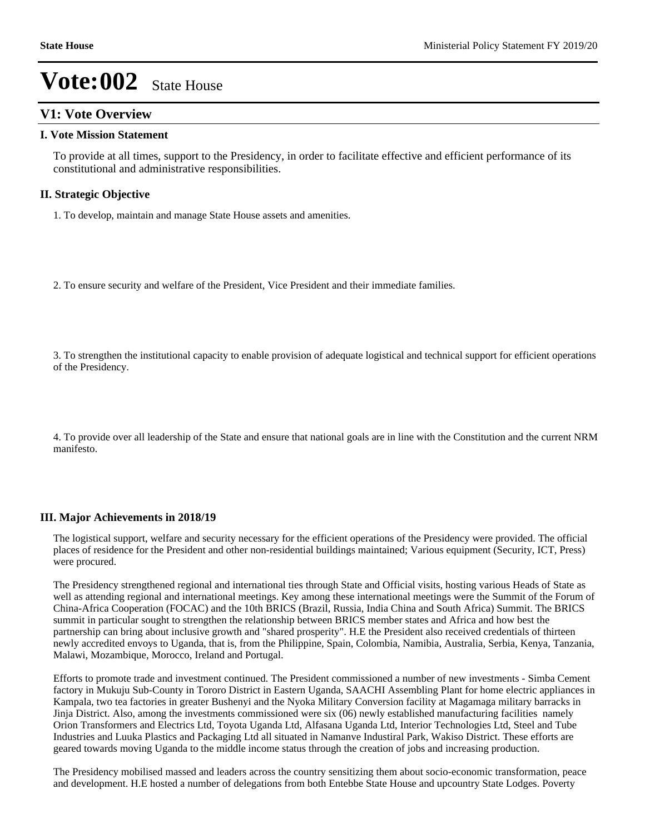## **V1: Vote Overview**

#### **I. Vote Mission Statement**

To provide at all times, support to the Presidency, in order to facilitate effective and efficient performance of its constitutional and administrative responsibilities.

### **II. Strategic Objective**

1. To develop, maintain and manage State House assets and amenities.

2. To ensure security and welfare of the President, Vice President and their immediate families.

3. To strengthen the institutional capacity to enable provision of adequate logistical and technical support for efficient operations of the Presidency.

4. To provide over all leadership of the State and ensure that national goals are in line with the Constitution and the current NRM manifesto.

### **III. Major Achievements in 2018/19**

The logistical support, welfare and security necessary for the efficient operations of the Presidency were provided. The official places of residence for the President and other non-residential buildings maintained; Various equipment (Security, ICT, Press) were procured.

The Presidency strengthened regional and international ties through State and Official visits, hosting various Heads of State as well as attending regional and international meetings. Key among these international meetings were the Summit of the Forum of China-Africa Cooperation (FOCAC) and the 10th BRICS (Brazil, Russia, India China and South Africa) Summit. The BRICS summit in particular sought to strengthen the relationship between BRICS member states and Africa and how best the partnership can bring about inclusive growth and "shared prosperity". H.E the President also received credentials of thirteen newly accredited envoys to Uganda, that is, from the Philippine, Spain, Colombia, Namibia, Australia, Serbia, Kenya, Tanzania, Malawi, Mozambique, Morocco, Ireland and Portugal.

Efforts to promote trade and investment continued. The President commissioned a number of new investments - Simba Cement factory in Mukuju Sub-County in Tororo District in Eastern Uganda, SAACHI Assembling Plant for home electric appliances in Kampala, two tea factories in greater Bushenyi and the Nyoka Military Conversion facility at Magamaga military barracks in Jinja District. Also, among the investments commissioned were six (06) newly established manufacturing facilities namely Orion Transformers and Electrics Ltd, Toyota Uganda Ltd, Alfasana Uganda Ltd, Interior Technologies Ltd, Steel and Tube Industries and Luuka Plastics and Packaging Ltd all situated in Namanve Industiral Park, Wakiso District. These efforts are geared towards moving Uganda to the middle income status through the creation of jobs and increasing production.

The Presidency mobilised massed and leaders across the country sensitizing them about socio-economic transformation, peace and development. H.E hosted a number of delegations from both Entebbe State House and upcountry State Lodges. Poverty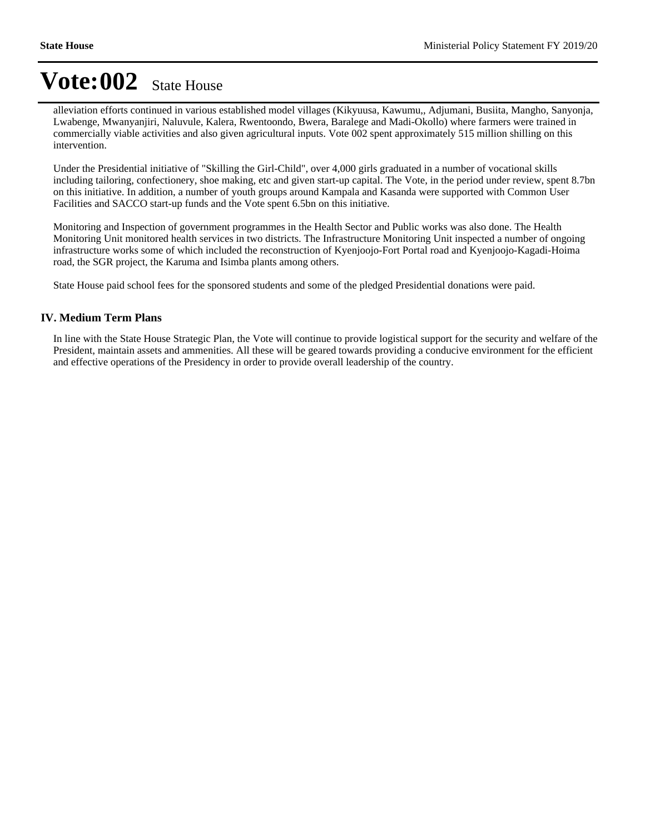alleviation efforts continued in various established model villages (Kikyuusa, Kawumu,, Adjumani, Busiita, Mangho, Sanyonja, Lwabenge, Mwanyanjiri, Naluvule, Kalera, Rwentoondo, Bwera, Baralege and Madi-Okollo) where farmers were trained in commercially viable activities and also given agricultural inputs. Vote 002 spent approximately 515 million shilling on this intervention.

Under the Presidential initiative of "Skilling the Girl-Child", over 4,000 girls graduated in a number of vocational skills including tailoring, confectionery, shoe making, etc and given start-up capital. The Vote, in the period under review, spent 8.7bn on this initiative. In addition, a number of youth groups around Kampala and Kasanda were supported with Common User Facilities and SACCO start-up funds and the Vote spent 6.5bn on this initiative.

Monitoring and Inspection of government programmes in the Health Sector and Public works was also done. The Health Monitoring Unit monitored health services in two districts. The Infrastructure Monitoring Unit inspected a number of ongoing infrastructure works some of which included the reconstruction of Kyenjoojo-Fort Portal road and Kyenjoojo-Kagadi-Hoima road, the SGR project, the Karuma and Isimba plants among others.

State House paid school fees for the sponsored students and some of the pledged Presidential donations were paid.

### **IV. Medium Term Plans**

In line with the State House Strategic Plan, the Vote will continue to provide logistical support for the security and welfare of the President, maintain assets and ammenities. All these will be geared towards providing a conducive environment for the efficient and effective operations of the Presidency in order to provide overall leadership of the country.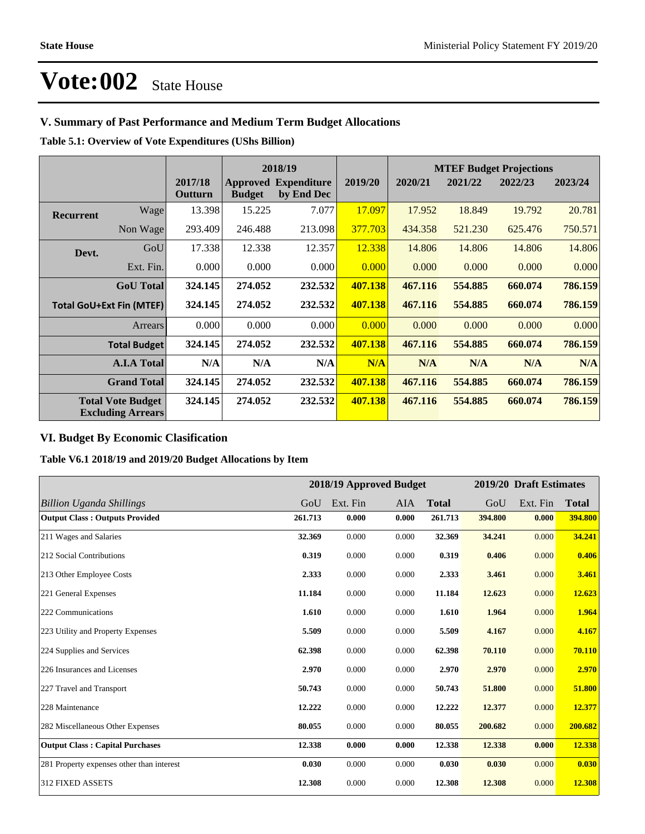## **V. Summary of Past Performance and Medium Term Budget Allocations**

**Table 5.1: Overview of Vote Expenditures (UShs Billion)**

|                  |                                                      |                    | 2018/19       |                                           |         | <b>MTEF Budget Projections</b> |         |         |         |
|------------------|------------------------------------------------------|--------------------|---------------|-------------------------------------------|---------|--------------------------------|---------|---------|---------|
|                  |                                                      | 2017/18<br>Outturn | <b>Budget</b> | <b>Approved Expenditure</b><br>by End Dec | 2019/20 | 2020/21                        | 2021/22 | 2022/23 | 2023/24 |
| <b>Recurrent</b> | Wage                                                 | 13.398             | 15.225        | 7.077                                     | 17.097  | 17.952                         | 18.849  | 19.792  | 20.781  |
|                  | Non Wage                                             | 293.409            | 246.488       | 213.098                                   | 377.703 | 434.358                        | 521.230 | 625.476 | 750.571 |
| Devt.            | GoU                                                  | 17.338             | 12.338        | 12.357                                    | 12.338  | 14.806                         | 14.806  | 14.806  | 14.806  |
|                  | Ext. Fin.                                            | 0.000              | 0.000         | 0.000                                     | 0.000   | 0.000                          | 0.000   | 0.000   | 0.000   |
|                  | <b>GoU</b> Total                                     | 324.145            | 274.052       | 232.532                                   | 407.138 | 467.116                        | 554.885 | 660.074 | 786.159 |
|                  | <b>Total GoU+Ext Fin (MTEF)</b>                      | 324.145            | 274.052       | 232.532                                   | 407.138 | 467.116                        | 554.885 | 660.074 | 786.159 |
|                  | Arrears                                              | 0.000              | 0.000         | 0.000                                     | 0.000   | 0.000                          | 0.000   | 0.000   | 0.000   |
|                  | <b>Total Budget</b>                                  | 324.145            | 274.052       | 232.532                                   | 407.138 | 467.116                        | 554.885 | 660.074 | 786.159 |
|                  | <b>A.I.A Total</b>                                   | N/A                | N/A           | N/A                                       | N/A     | N/A                            | N/A     | N/A     | N/A     |
|                  | <b>Grand Total</b>                                   | 324.145            | 274.052       | 232.532                                   | 407.138 | 467.116                        | 554.885 | 660.074 | 786.159 |
|                  | <b>Total Vote Budget</b><br><b>Excluding Arrears</b> | 324.145            | 274.052       | 232.532                                   | 407.138 | 467.116                        | 554.885 | 660.074 | 786.159 |

## **VI. Budget By Economic Clasification**

**Table V6.1 2018/19 and 2019/20 Budget Allocations by Item**

|                                           | 2018/19 Approved Budget |          |       |              | 2019/20 Draft Estimates |          |              |
|-------------------------------------------|-------------------------|----------|-------|--------------|-------------------------|----------|--------------|
| <b>Billion Uganda Shillings</b>           | GoU                     | Ext. Fin | AIA   | <b>Total</b> | GoU                     | Ext. Fin | <b>Total</b> |
| <b>Output Class: Outputs Provided</b>     | 261.713                 | 0.000    | 0.000 | 261.713      | 394.800                 | 0.000    | 394.800      |
| 211 Wages and Salaries                    | 32.369                  | 0.000    | 0.000 | 32.369       | 34.241                  | 0.000    | 34.241       |
| 212 Social Contributions                  | 0.319                   | 0.000    | 0.000 | 0.319        | 0.406                   | 0.000    | 0.406        |
| 213 Other Employee Costs                  | 2.333                   | 0.000    | 0.000 | 2.333        | 3.461                   | 0.000    | 3.461        |
| 221 General Expenses                      | 11.184                  | 0.000    | 0.000 | 11.184       | 12.623                  | 0.000    | 12.623       |
| 222 Communications                        | 1.610                   | 0.000    | 0.000 | 1.610        | 1.964                   | 0.000    | 1.964        |
| 223 Utility and Property Expenses         | 5.509                   | 0.000    | 0.000 | 5.509        | 4.167                   | 0.000    | 4.167        |
| 224 Supplies and Services                 | 62.398                  | 0.000    | 0.000 | 62.398       | 70.110                  | 0.000    | 70.110       |
| 226 Insurances and Licenses               | 2.970                   | 0.000    | 0.000 | 2.970        | 2.970                   | 0.000    | 2.970        |
| 227 Travel and Transport                  | 50.743                  | 0.000    | 0.000 | 50.743       | 51.800                  | 0.000    | 51.800       |
| 228 Maintenance                           | 12.222                  | 0.000    | 0.000 | 12.222       | 12.377                  | 0.000    | 12.377       |
| 282 Miscellaneous Other Expenses          | 80.055                  | 0.000    | 0.000 | 80.055       | 200.682                 | 0.000    | 200.682      |
| <b>Output Class: Capital Purchases</b>    | 12.338                  | 0.000    | 0.000 | 12.338       | 12.338                  | 0.000    | 12.338       |
| 281 Property expenses other than interest | 0.030                   | 0.000    | 0.000 | 0.030        | 0.030                   | 0.000    | 0.030        |
| 312 FIXED ASSETS                          | 12.308                  | 0.000    | 0.000 | 12.308       | 12.308                  | 0.000    | 12.308       |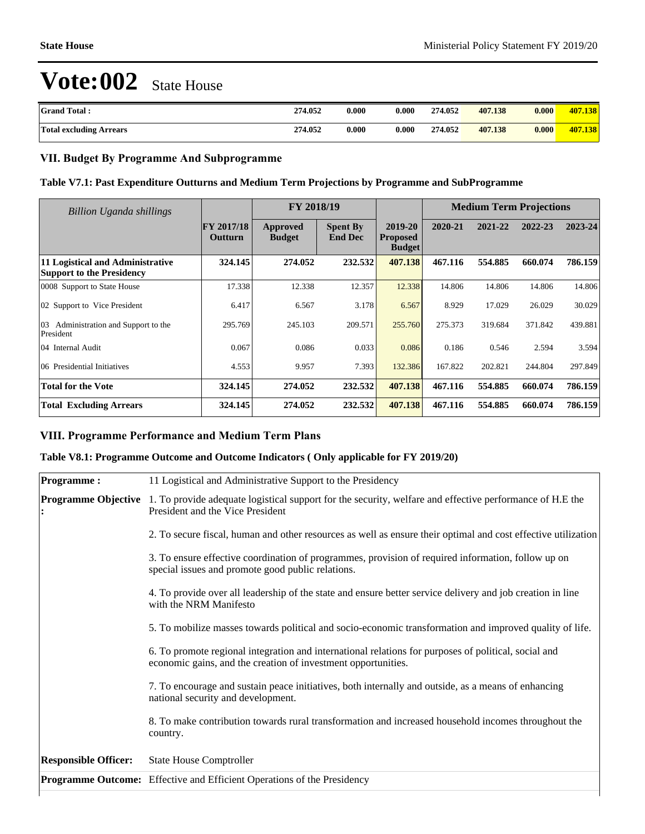| <b>Grand Total:</b>            | 274.052 | 0.000 | 0.000                | 274.052 | 407.138 | 0.000 | 407.138 |
|--------------------------------|---------|-------|----------------------|---------|---------|-------|---------|
| <b>Total excluding Arrears</b> | 274.052 | 0.000 | $\boldsymbol{0.000}$ | 274.052 | 407.138 | 0.000 | 407.138 |

## **VII. Budget By Programme And Subprogramme**

## **Table V7.1: Past Expenditure Outturns and Medium Term Projections by Programme and SubProgramme**

| <b>Billion Uganda shillings</b>                                      |                       | FY 2018/19                |                                   |                                             | <b>Medium Term Projections</b> |         |         |         |  |
|----------------------------------------------------------------------|-----------------------|---------------------------|-----------------------------------|---------------------------------------------|--------------------------------|---------|---------|---------|--|
|                                                                      | FY 2017/18<br>Outturn | Approved<br><b>Budget</b> | <b>Spent By</b><br><b>End Dec</b> | 2019-20<br><b>Proposed</b><br><b>Budget</b> | 2020-21                        | 2021-22 | 2022-23 | 2023-24 |  |
| 11 Logistical and Administrative<br><b>Support to the Presidency</b> | 324.145               | 274.052                   | 232.532                           | 407.138                                     | 467.116                        | 554.885 | 660.074 | 786.159 |  |
| 0008 Support to State House                                          | 17.338                | 12.338                    | 12.357                            | 12.338                                      | 14.806                         | 14.806  | 14.806  | 14.806  |  |
| 02 Support to Vice President                                         | 6.417                 | 6.567                     | 3.178                             | 6.567                                       | 8.929                          | 17.029  | 26.029  | 30.029  |  |
| 03<br>Administration and Support to the<br>President                 | 295.769               | 245.103                   | 209.571                           | 255,760                                     | 275.373                        | 319.684 | 371.842 | 439.881 |  |
| 04 Internal Audit                                                    | 0.067                 | 0.086                     | 0.033                             | 0.086                                       | 0.186                          | 0.546   | 2.594   | 3.594   |  |
| 06 Presidential Initiatives                                          | 4.553                 | 9.957                     | 7.393                             | 132.386                                     | 167.822                        | 202.821 | 244.804 | 297.849 |  |
| <b>Total for the Vote</b>                                            | 324.145               | 274.052                   | 232.532                           | 407.138                                     | 467.116                        | 554.885 | 660.074 | 786.159 |  |
| <b>Total Excluding Arrears</b>                                       | 324.145               | 274.052                   | 232.532                           | 407.138                                     | 467.116                        | 554.885 | 660.074 | 786.159 |  |

## **VIII. Programme Performance and Medium Term Plans**

### **Table V8.1: Programme Outcome and Outcome Indicators ( Only applicable for FY 2019/20)**

|                             | <b>Programme Outcome:</b> Effective and Efficient Operations of the Presidency                                                                                        |
|-----------------------------|-----------------------------------------------------------------------------------------------------------------------------------------------------------------------|
| <b>Responsible Officer:</b> | <b>State House Comptroller</b>                                                                                                                                        |
|                             | 8. To make contribution towards rural transformation and increased household incomes throughout the<br>country.                                                       |
|                             | 7. To encourage and sustain peace initiatives, both internally and outside, as a means of enhancing<br>national security and development.                             |
|                             | 6. To promote regional integration and international relations for purposes of political, social and<br>economic gains, and the creation of investment opportunities. |
|                             | 5. To mobilize masses towards political and socio-economic transformation and improved quality of life.                                                               |
|                             | 4. To provide over all leadership of the state and ensure better service delivery and job creation in line<br>with the NRM Manifesto                                  |
|                             | 3. To ensure effective coordination of programmes, provision of required information, follow up on<br>special issues and promote good public relations.               |
|                             | 2. To secure fiscal, human and other resources as well as ensure their optimal and cost effective utilization                                                         |
| <b>Programme Objective</b>  | 1. To provide adequate logistical support for the security, welfare and effective performance of H.E the<br>President and the Vice President                          |
| <b>Programme:</b>           | 11 Logistical and Administrative Support to the Presidency                                                                                                            |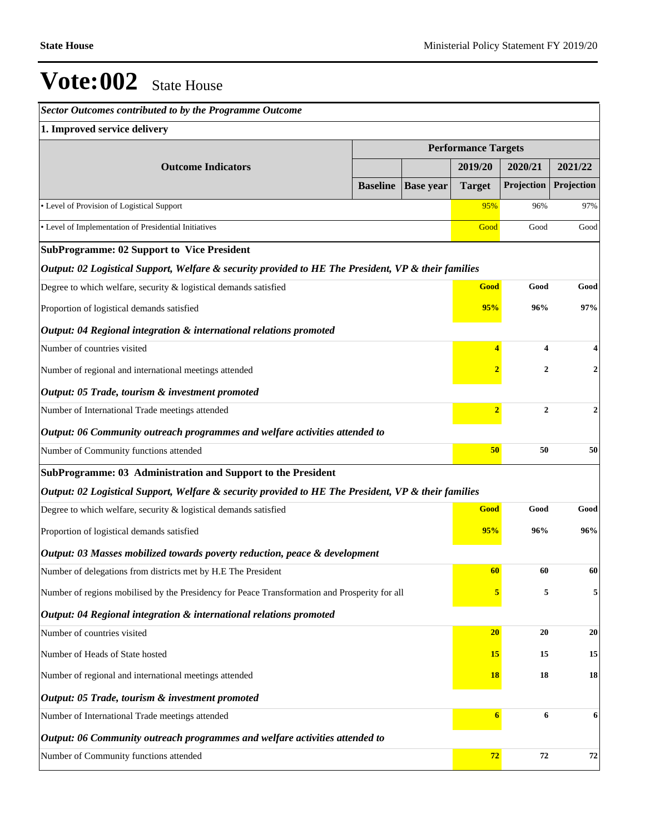| Sector Outcomes contributed to by the Programme Outcome                                             |                 |                            |                  |                         |                    |
|-----------------------------------------------------------------------------------------------------|-----------------|----------------------------|------------------|-------------------------|--------------------|
| 1. Improved service delivery                                                                        |                 |                            |                  |                         |                    |
|                                                                                                     |                 | <b>Performance Targets</b> |                  |                         |                    |
| <b>Outcome Indicators</b>                                                                           |                 |                            | 2019/20          | 2020/21                 | 2021/22            |
|                                                                                                     | <b>Baseline</b> | <b>Base year</b>           | <b>Target</b>    | Projection              | Projection         |
| • Level of Provision of Logistical Support                                                          |                 |                            | 95%              | 96%                     | 97%                |
| • Level of Implementation of Presidential Initiatives                                               |                 |                            | Good             | Good                    | Good               |
| <b>SubProgramme: 02 Support to Vice President</b>                                                   |                 |                            |                  |                         |                    |
| Output: 02 Logistical Support, Welfare & security provided to HE The President, VP & their families |                 |                            |                  |                         |                    |
| Degree to which welfare, security & logistical demands satisfied                                    |                 |                            | Good             | Good                    | Good               |
| Proportion of logistical demands satisfied                                                          |                 |                            | 95%              | 96%                     | 97%                |
| Output: 04 Regional integration & international relations promoted                                  |                 |                            |                  |                         |                    |
| Number of countries visited                                                                         |                 |                            | $\overline{4}$   | $\overline{\mathbf{4}}$ | $\overline{\bf 4}$ |
| Number of regional and international meetings attended                                              |                 |                            |                  | $\mathbf{2}$            | $\overline{2}$     |
| Output: 05 Trade, tourism & investment promoted                                                     |                 |                            |                  |                         |                    |
| Number of International Trade meetings attended                                                     |                 |                            | $\overline{2}$   | $\mathbf{2}$            | $\overline{2}$     |
| Output: 06 Community outreach programmes and welfare activities attended to                         |                 |                            |                  |                         |                    |
| Number of Community functions attended                                                              |                 |                            | 50               | 50                      | 50                 |
| SubProgramme: 03 Administration and Support to the President                                        |                 |                            |                  |                         |                    |
| Output: 02 Logistical Support, Welfare & security provided to HE The President, VP & their families |                 |                            |                  |                         |                    |
| Degree to which welfare, security & logistical demands satisfied                                    |                 |                            | Good             | Good                    | Good               |
| Proportion of logistical demands satisfied                                                          |                 |                            | 95%              | 96%                     | 96%                |
| Output: 03 Masses mobilized towards poverty reduction, peace & development                          |                 |                            |                  |                         |                    |
| Number of delegations from districts met by H.E The President                                       |                 |                            | 60               | 60                      | 60                 |
| Number of regions mobilised by the Presidency for Peace Transformation and Prosperity for all       |                 |                            | 5                | 5                       | 5                  |
| Output: 04 Regional integration & international relations promoted                                  |                 |                            |                  |                         |                    |
| Number of countries visited                                                                         |                 |                            | $20\,$           | 20                      | 20                 |
| Number of Heads of State hosted                                                                     |                 |                            | 15               | 15                      | 15                 |
| Number of regional and international meetings attended                                              |                 |                            | <b>18</b>        | 18                      | 18                 |
| Output: 05 Trade, tourism & investment promoted                                                     |                 |                            |                  |                         |                    |
| Number of International Trade meetings attended                                                     |                 |                            | $\boldsymbol{6}$ | 6                       | 6                  |
| Output: 06 Community outreach programmes and welfare activities attended to                         |                 |                            |                  |                         |                    |
| Number of Community functions attended                                                              |                 |                            | 72               | 72                      | 72                 |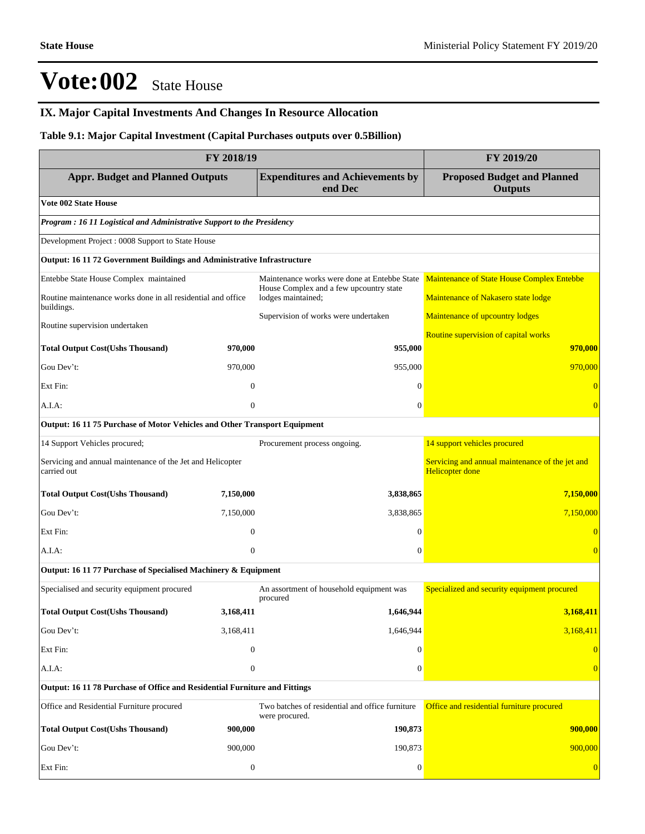## **IX. Major Capital Investments And Changes In Resource Allocation**

## **Table 9.1: Major Capital Investment (Capital Purchases outputs over 0.5Billion)**

| FY 2018/19                                                                 | FY 2019/20       |                                                                                         |                                                                           |  |  |  |  |  |  |
|----------------------------------------------------------------------------|------------------|-----------------------------------------------------------------------------------------|---------------------------------------------------------------------------|--|--|--|--|--|--|
| <b>Appr. Budget and Planned Outputs</b>                                    |                  | <b>Expenditures and Achievements by</b><br>end Dec                                      | <b>Proposed Budget and Planned</b><br><b>Outputs</b>                      |  |  |  |  |  |  |
| <b>Vote 002 State House</b>                                                |                  |                                                                                         |                                                                           |  |  |  |  |  |  |
| Program : 16 11 Logistical and Administrative Support to the Presidency    |                  |                                                                                         |                                                                           |  |  |  |  |  |  |
| Development Project : 0008 Support to State House                          |                  |                                                                                         |                                                                           |  |  |  |  |  |  |
| Output: 16 11 72 Government Buildings and Administrative Infrastructure    |                  |                                                                                         |                                                                           |  |  |  |  |  |  |
| Entebbe State House Complex maintained                                     |                  | Maintenance works were done at Entebbe State<br>House Complex and a few upcountry state | Maintenance of State House Complex Entebbe                                |  |  |  |  |  |  |
| Routine maintenance works done in all residential and office<br>buildings. |                  | lodges maintained;                                                                      | Maintenance of Nakasero state lodge                                       |  |  |  |  |  |  |
| Routine supervision undertaken                                             |                  | Supervision of works were undertaken                                                    | Maintenance of upcountry lodges                                           |  |  |  |  |  |  |
|                                                                            |                  |                                                                                         | Routine supervision of capital works                                      |  |  |  |  |  |  |
| <b>Total Output Cost(Ushs Thousand)</b>                                    | 970,000          | 955,000                                                                                 | 970,000                                                                   |  |  |  |  |  |  |
| Gou Dev't:                                                                 | 970,000          | 955,000                                                                                 | 970,000                                                                   |  |  |  |  |  |  |
| Ext Fin:                                                                   | $\Omega$         | $\Omega$                                                                                |                                                                           |  |  |  |  |  |  |
| A.I.A:                                                                     | $\overline{0}$   | $\mathbf{0}$                                                                            |                                                                           |  |  |  |  |  |  |
| Output: 16 11 75 Purchase of Motor Vehicles and Other Transport Equipment  |                  |                                                                                         |                                                                           |  |  |  |  |  |  |
| 14 Support Vehicles procured;                                              |                  | Procurement process ongoing.                                                            | 14 support vehicles procured                                              |  |  |  |  |  |  |
| Servicing and annual maintenance of the Jet and Helicopter<br>carried out  |                  |                                                                                         | Servicing and annual maintenance of the jet and<br><b>Helicopter done</b> |  |  |  |  |  |  |
| <b>Total Output Cost(Ushs Thousand)</b>                                    | 7,150,000        | 3,838,865                                                                               | 7,150,000                                                                 |  |  |  |  |  |  |
| Gou Dev't:                                                                 | 7,150,000        | 3,838,865                                                                               | 7,150,000                                                                 |  |  |  |  |  |  |
| Ext Fin:                                                                   | $\overline{0}$   | $\theta$                                                                                |                                                                           |  |  |  |  |  |  |
| A.I.A:                                                                     | $\mathbf{0}$     | $\mathbf{0}$                                                                            | $\overline{0}$                                                            |  |  |  |  |  |  |
| Output: 16 11 77 Purchase of Specialised Machinery & Equipment             |                  |                                                                                         |                                                                           |  |  |  |  |  |  |
| Specialised and security equipment procured                                |                  | An assortment of household equipment was<br>procured                                    | Specialized and security equipment procured                               |  |  |  |  |  |  |
| <b>Total Output Cost(Ushs Thousand)</b>                                    | 3,168,411        | 1,646,944                                                                               | 3,168,411                                                                 |  |  |  |  |  |  |
| Gou Dev't:                                                                 | 3,168,411        | 1,646,944                                                                               | 3,168,411                                                                 |  |  |  |  |  |  |
| Ext Fin:                                                                   | $\boldsymbol{0}$ | $\theta$                                                                                |                                                                           |  |  |  |  |  |  |
| A.I.A:                                                                     | $\boldsymbol{0}$ | $\theta$                                                                                |                                                                           |  |  |  |  |  |  |
| Output: 16 11 78 Purchase of Office and Residential Furniture and Fittings |                  |                                                                                         |                                                                           |  |  |  |  |  |  |
| Office and Residential Furniture procured                                  |                  | Two batches of residential and office furniture<br>were procured.                       | Office and residential furniture procured                                 |  |  |  |  |  |  |
| <b>Total Output Cost(Ushs Thousand)</b>                                    | 900,000          | 190,873                                                                                 | 900,000                                                                   |  |  |  |  |  |  |
| Gou Dev't:                                                                 | 900,000          | 190,873                                                                                 | 900,000                                                                   |  |  |  |  |  |  |
| Ext Fin:                                                                   | $\boldsymbol{0}$ | $\mathbf{0}$                                                                            | $\overline{0}$                                                            |  |  |  |  |  |  |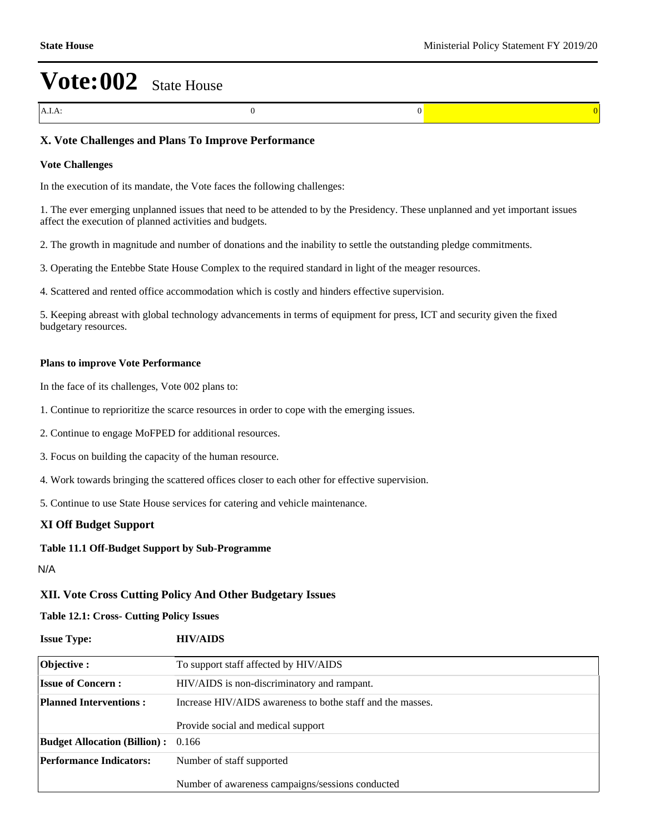A.I.A: 0 0 0

## **X. Vote Challenges and Plans To Improve Performance**

#### **Vote Challenges**

In the execution of its mandate, the Vote faces the following challenges:

1. The ever emerging unplanned issues that need to be attended to by the Presidency. These unplanned and yet important issues affect the execution of planned activities and budgets.

2. The growth in magnitude and number of donations and the inability to settle the outstanding pledge commitments.

3. Operating the Entebbe State House Complex to the required standard in light of the meager resources.

4. Scattered and rented office accommodation which is costly and hinders effective supervision.

5. Keeping abreast with global technology advancements in terms of equipment for press, ICT and security given the fixed budgetary resources.

#### **Plans to improve Vote Performance**

In the face of its challenges, Vote 002 plans to:

- 1. Continue to reprioritize the scarce resources in order to cope with the emerging issues.
- 2. Continue to engage MoFPED for additional resources.
- 3. Focus on building the capacity of the human resource.
- 4. Work towards bringing the scattered offices closer to each other for effective supervision.
- 5. Continue to use State House services for catering and vehicle maintenance.

### **XI Off Budget Support**

### **Table 11.1 Off-Budget Support by Sub-Programme**

N/A

### **XII. Vote Cross Cutting Policy And Other Budgetary Issues**

### **Table 12.1: Cross- Cutting Policy Issues**

## **Issue Type: HIV/AIDS**

| Objective :                                                                                 | To support staff affected by HIV/AIDS            |  |  |  |  |  |
|---------------------------------------------------------------------------------------------|--------------------------------------------------|--|--|--|--|--|
| <b>Issue of Concern:</b>                                                                    | HIV/AIDS is non-discriminatory and rampant.      |  |  |  |  |  |
| <b>Planned Interventions:</b><br>Increase HIV/AIDS awareness to bothe staff and the masses. |                                                  |  |  |  |  |  |
|                                                                                             | Provide social and medical support               |  |  |  |  |  |
| <b>Budget Allocation (Billion):</b> 0.166                                                   |                                                  |  |  |  |  |  |
| <b>Performance Indicators:</b>                                                              | Number of staff supported                        |  |  |  |  |  |
|                                                                                             | Number of awareness campaigns/sessions conducted |  |  |  |  |  |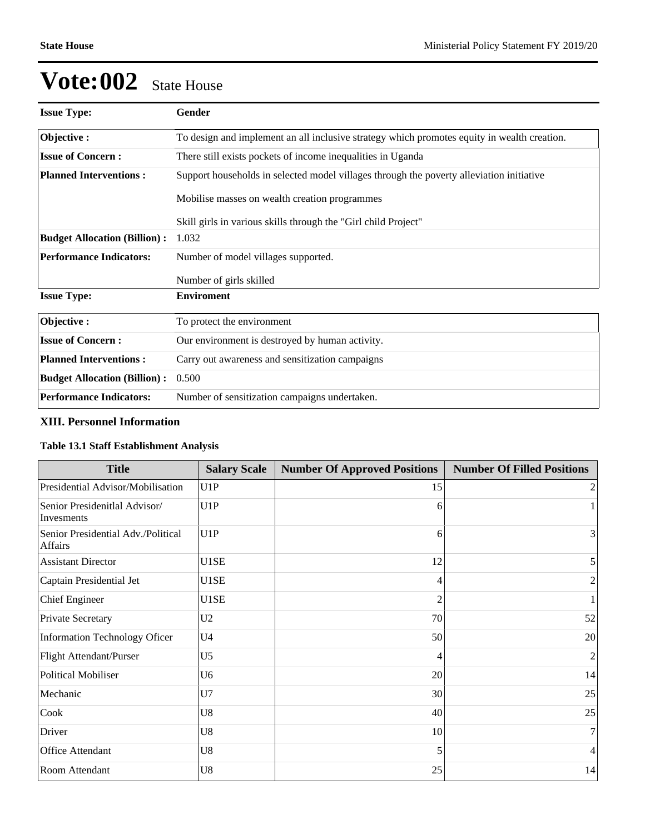| <b>Issue Type:</b>                  | Gender                                                                                      |  |  |  |  |  |
|-------------------------------------|---------------------------------------------------------------------------------------------|--|--|--|--|--|
| Objective:                          | To design and implement an all inclusive strategy which promotes equity in wealth creation. |  |  |  |  |  |
| <b>Issue of Concern:</b>            | There still exists pockets of income inequalities in Uganda                                 |  |  |  |  |  |
| <b>Planned Interventions:</b>       | Support households in selected model villages through the poverty alleviation initiative    |  |  |  |  |  |
|                                     | Mobilise masses on wealth creation programmes                                               |  |  |  |  |  |
|                                     | Skill girls in various skills through the "Girl child Project"                              |  |  |  |  |  |
| <b>Budget Allocation (Billion):</b> | 1.032                                                                                       |  |  |  |  |  |
| <b>Performance Indicators:</b>      | Number of model villages supported.                                                         |  |  |  |  |  |
|                                     | Number of girls skilled                                                                     |  |  |  |  |  |
| <b>Issue Type:</b>                  | <b>Enviroment</b>                                                                           |  |  |  |  |  |
| Objective:                          | To protect the environment                                                                  |  |  |  |  |  |
| <b>Issue of Concern:</b>            | Our environment is destroyed by human activity.                                             |  |  |  |  |  |
| <b>Planned Interventions:</b>       | Carry out awareness and sensitization campaigns                                             |  |  |  |  |  |
| <b>Budget Allocation (Billion):</b> | 0.500                                                                                       |  |  |  |  |  |
| <b>Performance Indicators:</b>      | Number of sensitization campaigns undertaken.                                               |  |  |  |  |  |

## **XIII. Personnel Information**

## **Table 13.1 Staff Establishment Analysis**

| <b>Title</b>                                  | <b>Salary Scale</b> | <b>Number Of Approved Positions</b> | <b>Number Of Filled Positions</b> |
|-----------------------------------------------|---------------------|-------------------------------------|-----------------------------------|
| Presidential Advisor/Mobilisation             | U1P                 | 15                                  | $\overline{2}$                    |
| Senior Presidenitlal Advisor/<br>Invesments   | U1P                 | 6                                   |                                   |
| Senior Presidential Adv./Political<br>Affairs | U1P                 | 6                                   | 3                                 |
| <b>Assistant Director</b>                     | U1SE                | 12                                  | $\mathfrak{z}$                    |
| Captain Presidential Jet                      | U1SE                | 4                                   | 2                                 |
| <b>Chief Engineer</b>                         | U1SE                | $\mathfrak{D}$                      |                                   |
| Private Secretary                             | U <sub>2</sub>      | 70                                  | 52                                |
| <b>Information Technology Oficer</b>          | U <sub>4</sub>      | 50                                  | 20                                |
| Flight Attendant/Purser                       | U <sub>5</sub>      | 4                                   | $\overline{c}$                    |
| <b>Political Mobiliser</b>                    | U <sub>6</sub>      | 20                                  | 14                                |
| Mechanic                                      | U7                  | 30                                  | 25                                |
| Cook                                          | U8                  | 40                                  | 25                                |
| Driver                                        | U8                  | 10                                  | 7                                 |
| Office Attendant                              | U8                  | 5                                   | $\vert 4 \vert$                   |
| Room Attendant                                | U8                  | 25                                  | 14                                |